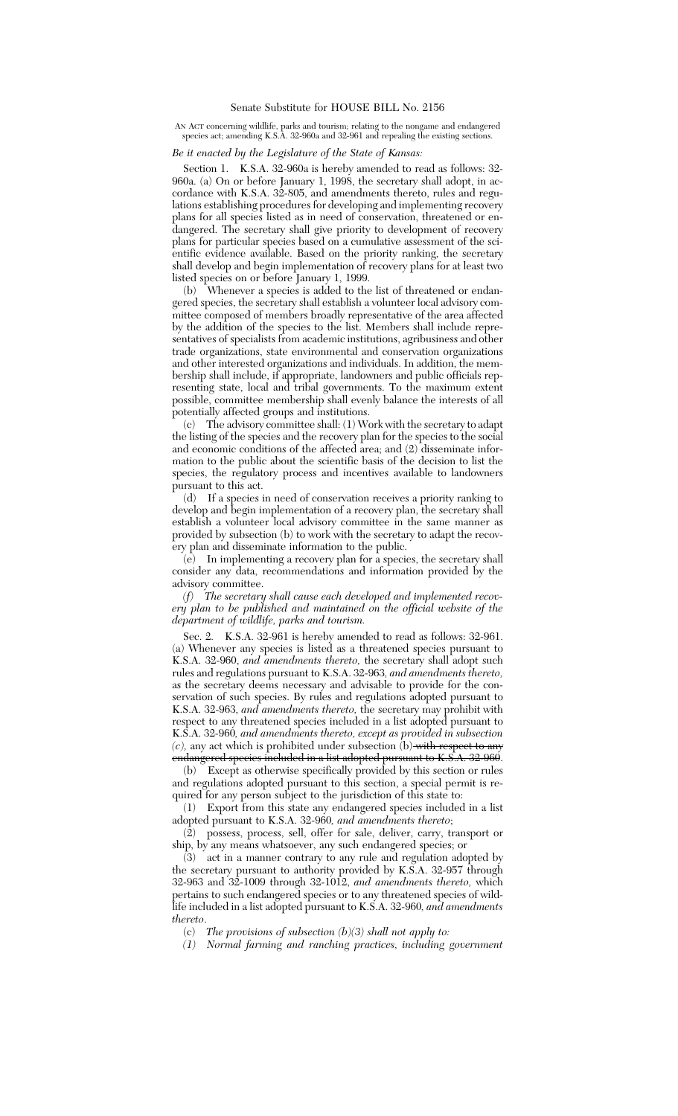## Senate Substitute for HOUSE BILL No. 2156

AN ACT concerning wildlife, parks and tourism; relating to the nongame and endangered species act; amending K.S.A. 32-960a and 32-961 and repealing the existing sections.

## *Be it enacted by the Legislature of the State of Kansas:*

Section 1. K.S.A. 32-960a is hereby amended to read as follows: 32- 960a. (a) On or before January 1, 1998, the secretary shall adopt, in accordance with K.S.A. 32-805, and amendments thereto, rules and regulations establishing procedures for developing and implementing recovery plans for all species listed as in need of conservation, threatened or endangered. The secretary shall give priority to development of recovery plans for particular species based on a cumulative assessment of the scientific evidence available. Based on the priority ranking, the secretary shall develop and begin implementation of recovery plans for at least two listed species on or before January 1, 1999.

(b) Whenever a species is added to the list of threatened or endangered species, the secretary shall establish a volunteer local advisory committee composed of members broadly representative of the area affected by the addition of the species to the list. Members shall include representatives of specialists from academic institutions, agribusiness and other trade organizations, state environmental and conservation organizations and other interested organizations and individuals. In addition, the membership shall include, if appropriate, landowners and public officials representing state, local and tribal governments. To the maximum extent possible, committee membership shall evenly balance the interests of all potentially affected groups and institutions.

(c) The advisory committee shall: (1) Work with the secretary to adapt the listing of the species and the recovery plan for the species to the social and economic conditions of the affected area; and (2) disseminate information to the public about the scientific basis of the decision to list the species, the regulatory process and incentives available to landowners pursuant to this act.

(d) If a species in need of conservation receives a priority ranking to develop and begin implementation of a recovery plan, the secretary shall establish a volunteer local advisory committee in the same manner as provided by subsection (b) to work with the secretary to adapt the recovery plan and disseminate information to the public.

(e) In implementing a recovery plan for a species, the secretary shall consider any data, recommendations and information provided by the advisory committee.

*(f) The secretary shall cause each developed and implemented recovery plan to be published and maintained on the official website of the department of wildlife, parks and tourism.*

Sec. 2. K.S.A. 32-961 is hereby amended to read as follows: 32-961. (a) Whenever any species is listed as a threatened species pursuant to K.S.A. 32-960, *and amendments thereto,* the secretary shall adopt such rules and regulations pursuant to K.S.A. 32-963*, and amendments thereto,* as the secretary deems necessary and advisable to provide for the conservation of such species. By rules and regulations adopted pursuant to K.S.A. 32-963, *and amendments thereto,* the secretary may prohibit with respect to any threatened species included in a list adopted pursuant to K.S.A. 32-960*, and amendments thereto, except as provided in subsection (c),* any act which is prohibited under subsection (b) with respect to any endangered species included in a list adopted pursuant to K.S.A. 32-960.

(b) Except as otherwise specifically provided by this section or rules and regulations adopted pursuant to this section, a special permit is required for any person subject to the jurisdiction of this state to:

(1) Export from this state any endangered species included in a list adopted pursuant to K.S.A. 32-960*, and amendments thereto*;

(2) possess, process, sell, offer for sale, deliver, carry, transport or ship, by any means whatsoever, any such endangered species; or

(3) act in a manner contrary to any rule and regulation adopted by the secretary pursuant to authority provided by K.S.A. 32-957 through 32-963 and 32-1009 through 32-1012, *and amendments thereto,* which pertains to such endangered species or to any threatened species of wildlife included in a list adopted pursuant to K.S.A. 32-960*, and amendments thereto*.

(c) *The provisions of subsection (b)(3) shall not apply to:*

*(1) Normal farming and ranching practices, including government*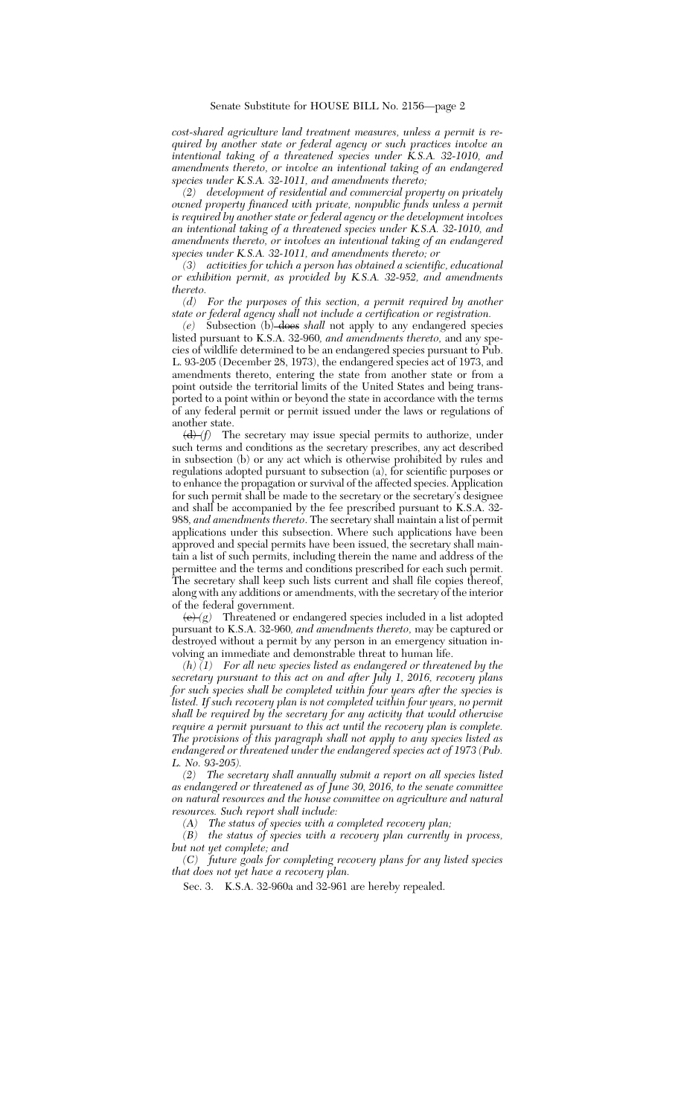*cost-shared agriculture land treatment measures, unless a permit is required by another state or federal agency or such practices involve an intentional taking of a threatened species under K.S.A. 32-1010, and amendments thereto, or involve an intentional taking of an endangered species under K.S.A. 32-1011, and amendments thereto;*

*(2) development of residential and commercial property on privately owned property financed with private, nonpublic funds unless a permit is required by another state or federal agency or the development involves an intentional taking of a threatened species under K.S.A. 32-1010, and amendments thereto, or involves an intentional taking of an endangered species under K.S.A. 32-1011, and amendments thereto; or*

*(3) activities for which a person has obtained a scientific, educational or exhibition permit, as provided by K.S.A. 32-952, and amendments thereto.*

*(d) For the purposes of this section, a permit required by another state or federal agency shall not include a certification or registration.*

*(e)* Subsection (b) does *shall* not apply to any endangered species listed pursuant to K.S.A. 32-960*, and amendments thereto,* and any species of wildlife determined to be an endangered species pursuant to Pub. L. 93-205 (December 28, 1973), the endangered species act of 1973, and amendments thereto, entering the state from another state or from a point outside the territorial limits of the United States and being transported to a point within or beyond the state in accordance with the terms of any federal permit or permit issued under the laws or regulations of another state.

 $(d)$  *(d) (f)* The secretary may issue special permits to authorize, under such terms and conditions as the secretary prescribes, any act described in subsection (b) or any act which is otherwise prohibited by rules and regulations adopted pursuant to subsection (a), for scientific purposes or to enhance the propagation or survival of the affected species. Application for such permit shall be made to the secretary or the secretary's designee and shall be accompanied by the fee prescribed pursuant to K.S.A. 32- 988*, and amendments thereto*. The secretary shall maintain a list of permit applications under this subsection. Where such applications have been approved and special permits have been issued, the secretary shall maintain a list of such permits, including therein the name and address of the permittee and the terms and conditions prescribed for each such permit. The secretary shall keep such lists current and shall file copies thereof, along with any additions or amendments, with the secretary of the interior of the federal government.

 $\langle e \rangle$  *(g)* Threatened or endangered species included in a list adopted pursuant to K.S.A. 32-960*, and amendments thereto,* may be captured or destroyed without a permit by any person in an emergency situation involving an immediate and demonstrable threat to human life.

*(h) (1) For all new species listed as endangered or threatened by the secretary pursuant to this act on and after July 1, 2016, recovery plans for such species shall be completed within four years after the species is listed. If such recovery plan is not completed within four years, no permit shall be required by the secretary for any activity that would otherwise require a permit pursuant to this act until the recovery plan is complete. The provisions of this paragraph shall not apply to any species listed as endangered or threatened under the endangered species act of 1973 (Pub. L. No. 93-205).*

*(2) The secretary shall annually submit a report on all species listed as endangered or threatened as of June 30, 2016, to the senate committee on natural resources and the house committee on agriculture and natural resources. Such report shall include:*

*(A) The status of species with a completed recovery plan;*

*(B) the status of species with a recovery plan currently in process, but not yet complete; and*

*(C) future goals for completing recovery plans for any listed species that does not yet have a recovery plan.*

Sec. 3. K.S.A. 32-960a and 32-961 are hereby repealed.